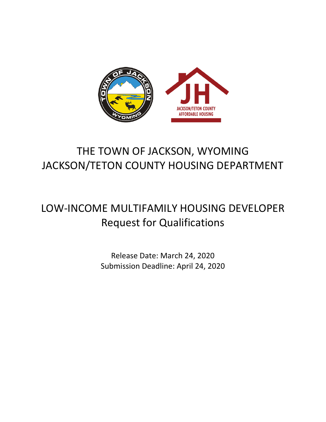

# THE TOWN OF JACKSON, WYOMING JACKSON/TETON COUNTY HOUSING DEPARTMENT

# LOW-INCOME MULTIFAMILY HOUSING DEVELOPER Request for Qualifications

Release Date: March 24, 2020 Submission Deadline: April 24, 2020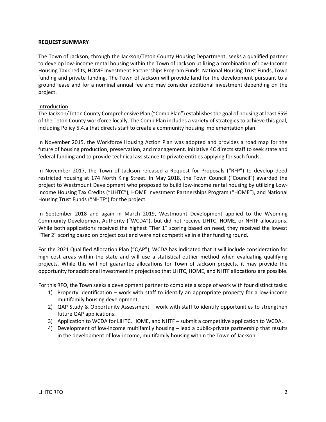#### **REQUEST SUMMARY**

The Town of Jackson, through the Jackson/Teton County Housing Department, seeks a qualified partner to develop low-income rental housing within the Town of Jackson utilizing a combination of Low-Income Housing Tax Credits, HOME Investment Partnerships Program Funds, National Housing Trust Funds, Town funding and private funding. The Town of Jackson will provide land for the development pursuant to a ground lease and for a nominal annual fee and may consider additional investment depending on the project.

### Introduction

The Jackson/Teton County Comprehensive Plan ("Comp Plan") establishes the goal of housing at least 65% of the Teton County workforce locally. The Comp Plan includes a variety of strategies to achieve this goal, including Policy 5.4.a that directs staff to create a community housing implementation plan.

In November 2015, the Workforce Housing Action Plan was adopted and provides a road map for the future of housing production, preservation, and management. Initiative 4C directs staff to seek state and federal funding and to provide technical assistance to private entities applying for such funds.

In November 2017, the Town of Jackson released a Request for Proposals ("RFP") to develop deed restricted housing at 174 North King Street. In May 2018, the Town Council ("Council") awarded the project to Westmount Development who proposed to build low-income rental housing by utilizing Low-Income Housing Tax Credits ("LIHTC"), HOME Investment Partnerships Program ("HOME"), and National Housing Trust Funds ("NHTF") for the project.

In September 2018 and again in March 2019, Westmount Development applied to the Wyoming Community Development Authority ("WCDA"), but did not receive LIHTC, HOME, or NHTF allocations. While both applications received the highest "Tier 1" scoring based on need, they received the lowest "Tier 2" scoring based on project cost and were not competitive in either funding round.

For the 2021 Qualified Allocation Plan ("QAP"), WCDA has indicated that it will include consideration for high cost areas within the state and will use a statistical outlier method when evaluating qualifying projects. While this will not guarantee allocations for Town of Jackson projects, it may provide the opportunity for additional investment in projects so that LIHTC, HOME, and NHTF allocations are possible.

For this RFQ, the Town seeks a development partner to complete a scope of work with four distinct tasks:

- 1) Property Identification work with staff to identify an appropriate property for a low-income multifamily housing development.
- 2) QAP Study & Opportunity Assessment work with staff to identify opportunities to strengthen future QAP applications.
- 3) Application to WCDA for LIHTC, HOME, and NHTF submit a competitive application to WCDA.
- 4) Development of low-income multifamily housing lead a public-private partnership that results in the development of low-income, multifamily housing within the Town of Jackson.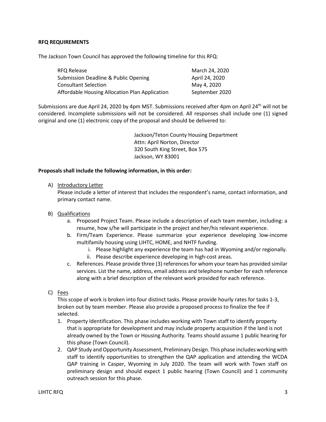## **RFQ REQUIREMENTS**

The Jackson Town Council has approved the following timeline for this RFQ:

| RFQ Release                                     | March 24, 2020 |
|-------------------------------------------------|----------------|
| <b>Submission Deadline &amp; Public Opening</b> | April 24, 2020 |
| <b>Consultant Selection</b>                     | May 4, 2020    |
| Affordable Housing Allocation Plan Application  | September 2020 |

Submissions are due April 24, 2020 by 4pm MST. Submissions received after 4pm on April 24th will not be considered. Incomplete submissions will not be considered. All responses shall include one (1) signed original and one (1) electronic copy of the proposal and should be delivered to:

> Jackson/Teton County Housing Department Attn: April Norton, Director 320 South King Street, Box 575 Jackson, WY 83001

### **Proposals shall include the following information, in this order:**

### A) Introductory Letter

Please include a letter of interest that includes the respondent's name, contact information, and primary contact name.

- B) Qualifications
	- a. Proposed Project Team. Please include a description of each team member, including: a resume, how s/he will participate in the project and her/his relevant experience.
	- b. Firm/Team Experience. Please summarize your experience developing low-income multifamily housing using LIHTC, HOME, and NHTF funding.
		- i. Please highlight any experience the team has had in Wyoming and/or regionally. ii. Please describe experience developing in high-cost areas.
	- c. References. Please provide three (3) references for whom your team has provided similar services. List the name, address, email address and telephone number for each reference along with a brief description of the relevant work provided for each reference.
- C) Fees

This scope of work is broken into four distinct tasks. Please provide hourly rates for tasks 1-3, broken out by team member. Please also provide a proposed process to finalize the fee if selected.

- 1. Property Identification. This phase includes working with Town staff to identify property that is appropriate for development and may include property acquisition if the land is not already owned by the Town or Housing Authority. Teams should assume 1 public hearing for this phase (Town Council).
- 2. QAP Study and Opportunity Assessment, Preliminary Design. This phase includes working with staff to identify opportunities to strengthen the QAP application and attending the WCDA QAP training in Casper, Wyoming in July 2020. The team will work with Town staff on preliminary design and should expect 1 public hearing (Town Council) and 1 community outreach session for this phase.